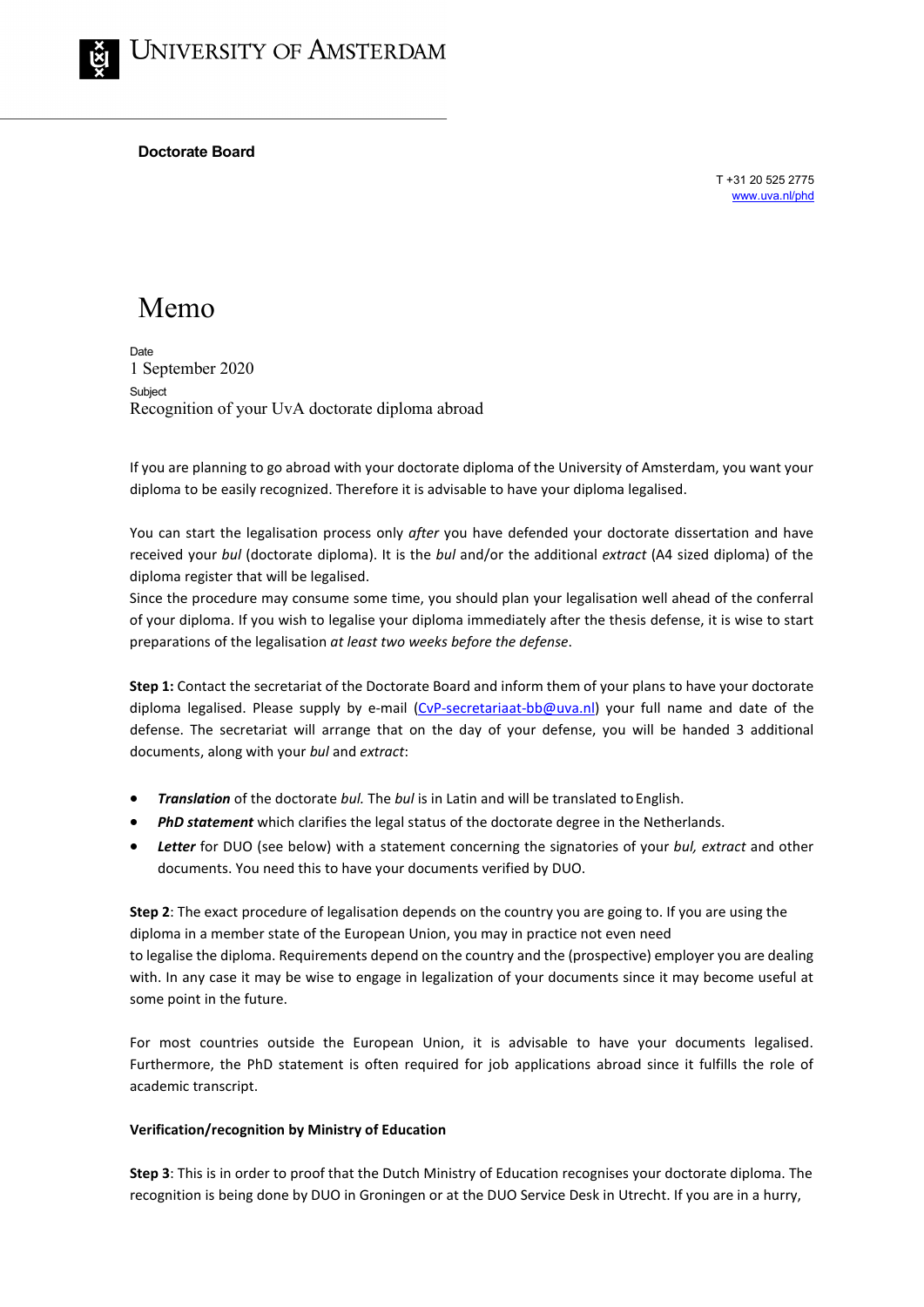## **Doctorate Board**

T +31 20 525 2775 [www.uva.nl/phd](http://www.uva.nl/phd)

# Memo

**Date** 1 September 2020 Subject Recognition of your UvA doctorate diploma abroad

If you are planning to go abroad with your doctorate diploma of the University of Amsterdam, you want your diploma to be easily recognized. Therefore it is advisable to have your diploma legalised.

You can start the legalisation process only *after* you have defended your doctorate dissertation and have received your *bul* (doctorate diploma). It is the *bul* and/or the additional *extract* (A4 sized diploma) of the diploma register that will be legalised.

Since the procedure may consume some time, you should plan your legalisation well ahead of the conferral of your diploma. If you wish to legalise your diploma immediately after the thesis defense, it is wise to start preparations of the legalisation *at least two weeks before the defense*.

**Step 1:** Contact the secretariat of the Doctorate Board and inform them of your plans to have your doctorate diploma legalised. Please supply by e-mail [\(CvP-secretariaat-bb@uva.nl\)](mailto:CvP-secretariaat-bb@uva.nl) your full name and date of the defense. The secretariat will arrange that on the day of your defense, you will be handed 3 additional documents, along with your *bul* and *extract*:

- *Translation* of the doctorate *bul.* The *bul* is in Latin and will be translated to English.
- *PhD statement* which clarifies the legal status of the doctorate degree in the Netherlands.
- *Letter* for DUO (see below) with a statement concerning the signatories of your *bul, extract* and other documents. You need this to have your documents verified by DUO.

**Step 2**: The exact procedure of legalisation depends on the country you are going to. If you are using the diploma in a member state of the European Union, you may in practice not even need to legalise the diploma. Requirements depend on the country and the (prospective) employer you are dealing with. In any case it may be wise to engage in legalization of your documents since it may become useful at some point in the future.

For most countries outside the European Union, it is advisable to have your documents legalised. Furthermore, the PhD statement is often required for job applications abroad since it fulfills the role of academic transcript.

## **Verification/recognition by Ministry of Education**

**Step 3**: This is in order to proof that the Dutch Ministry of Education recognises your doctorate diploma. The recognition is being done by DUO in Groningen or at the DUO Service Desk in Utrecht. If you are in a hurry,